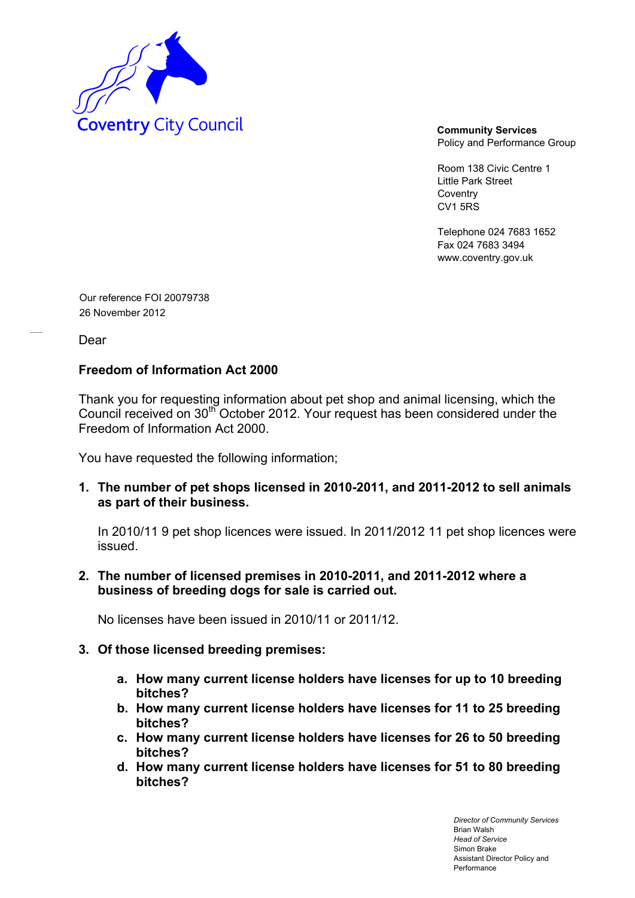

Policy and Performance Group

Room 138 Civic Centre 1 Little Park Street Coventry CV1 5RS

Telephone 024 7683 1652 Fax 024 7683 3494 www.coventry.gov.uk

Our reference FOI 20079738 26 November 2012

Dear

## **Freedom of Information Act 2000**

Thank you for requesting information about pet shop and animal licensing, which the Council received on 30th October 2012. Your request has been considered under the Freedom of Information Act 2000.

You have requested the following information;

**1. The number of pet shops licensed in 2010-2011, and 2011-2012 to sell animals as part of their business.** 

In 2010/11 9 pet shop licences were issued. In 2011/2012 11 pet shop licences were issued.

**2. The number of licensed premises in 2010-2011, and 2011-2012 where a business of breeding dogs for sale is carried out.** 

No licenses have been issued in 2010/11 or 2011/12.

## **3. Of those licensed breeding premises:**

- **a. How many current license holders have licenses for up to 10 breeding bitches?**
- **b. How many current license holders have licenses for 11 to 25 breeding bitches?**
- **c. How many current license holders have licenses for 26 to 50 breeding bitches?**
- **d. How many current license holders have licenses for 51 to 80 breeding bitches?**

*Director of Community Services*  Brian Walsh *Head of Service*  Simon Brake Assistant Director Policy and Performance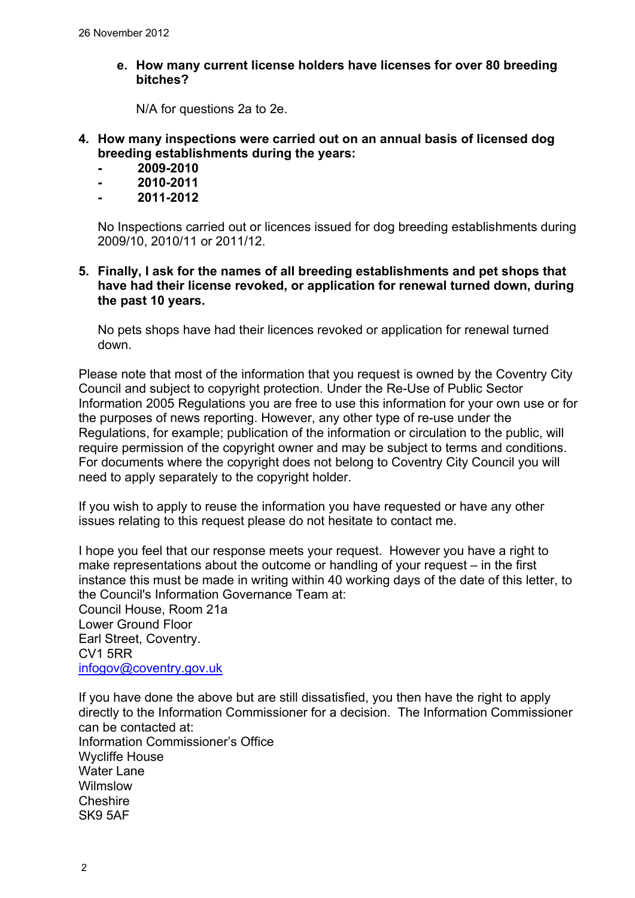**e. How many current license holders have licenses for over 80 breeding bitches?**

N/A for questions 2a to 2e.

- **4. How many inspections were carried out on an annual basis of licensed dog breeding establishments during the years:**
	- **2009-2010**
	- **2010-2011**
	- **2011-2012**

No Inspections carried out or licences issued for dog breeding establishments during 2009/10, 2010/11 or 2011/12.

**5. Finally, I ask for the names of all breeding establishments and pet shops that have had their license revoked, or application for renewal turned down, during the past 10 years.** 

No pets shops have had their licences revoked or application for renewal turned down.

Please note that most of the information that you request is owned by the Coventry City Council and subject to copyright protection. Under the Re-Use of Public Sector Information 2005 Regulations you are free to use this information for your own use or for the purposes of news reporting. However, any other type of re-use under the Regulations, for example; publication of the information or circulation to the public, will require permission of the copyright owner and may be subject to terms and conditions. For documents where the copyright does not belong to Coventry City Council you will need to apply separately to the copyright holder.

If you wish to apply to reuse the information you have requested or have any other issues relating to this request please do not hesitate to contact me.

I hope you feel that our response meets your request. However you have a right to make representations about the outcome or handling of your request – in the first instance this must be made in writing within 40 working days of the date of this letter, to the Council's Information Governance Team at: Council House, Room 21a

Lower Ground Floor Earl Street, Coventry. CV1 5RR [infogov@coventry.gov.uk](mailto:infogov@coventry.gov.uk)

If you have done the above but are still dissatisfied, you then have the right to apply directly to the Information Commissioner for a decision. The Information Commissioner can be contacted at: Information Commissioner's Office Wycliffe House Water Lane Wilmslow Cheshire SK9 5AF